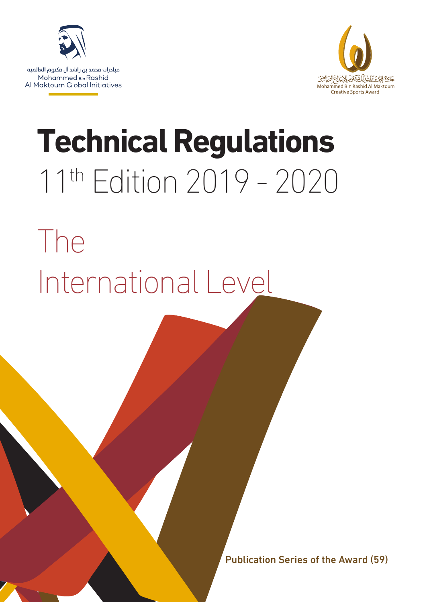

مبادرات محمد بن راشد آل مكتوم العالمية Mohammed Bin Rashid Al Maktoum Global Initiatives



# **Technical Regulations** 11th Edition 2019 - 2020

# The International Level

Publication Series of the Award (59)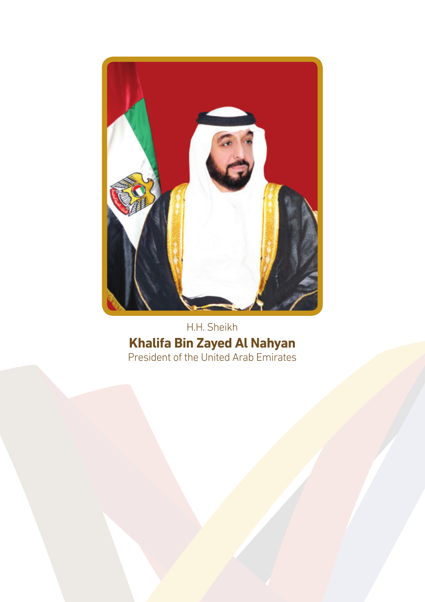

H.H. Sheikh **Khalifa Bin Zayed Al Nahyan** President of the United Arab Emirates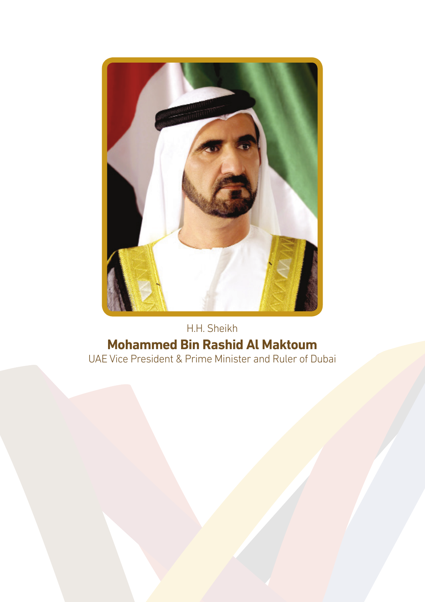

### H.H. Sheikh **Mohammed Bin Rashid Al Maktoum** UAE Vice President & Prime Minister and Ruler of Dubai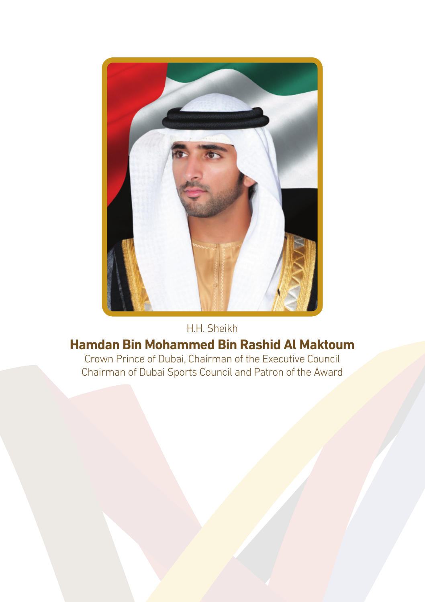

#### H.H. Sheikh

## **Hamdan Bin Mohammed Bin Rashid Al Maktoum**

Crown Prince of Dubai, Chairman of the Executive Council Chairman of Dubai Sports Council and Patron of the Award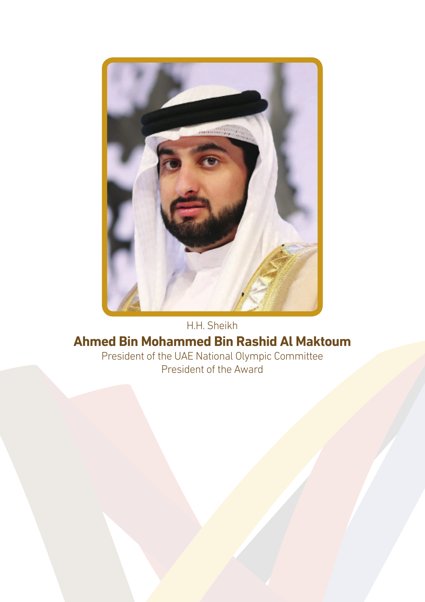

## **Ahmed Bin Mohammed Bin Rashid Al Maktoum** President of the UAE National Olympic Committee

President of the Award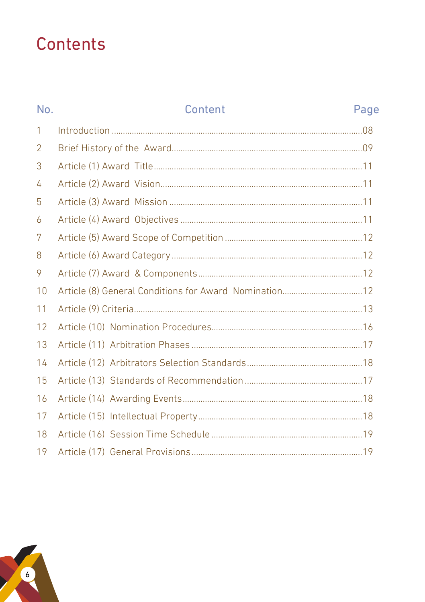## Contents

| No.            | Content | Page |
|----------------|---------|------|
| 1              |         |      |
| $\overline{2}$ |         |      |
| 3              |         |      |
| 4              |         |      |
| 5              |         |      |
| 6              |         |      |
| 7              |         |      |
| 8              |         |      |
| 9              |         |      |
| 10             |         |      |
| 11             |         |      |
| 12             |         |      |
| 13             |         |      |
| 14             |         |      |
| 15             |         |      |
| 16             |         |      |
| 17             |         |      |
| 18             |         |      |
| 19             |         |      |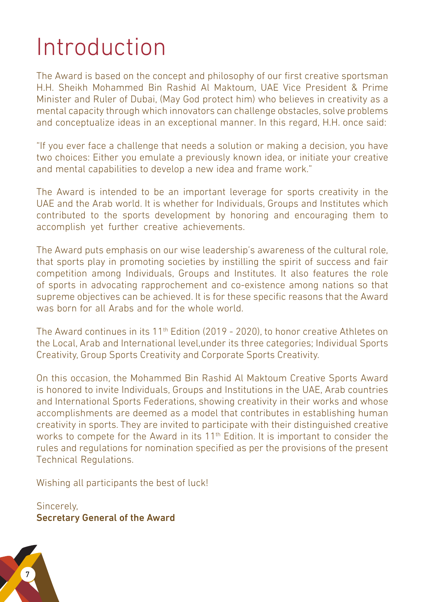## Introduction

The Award is based on the concept and philosophy of our first creative sportsman H.H. Sheikh Mohammed Bin Rashid Al Maktoum, UAE Vice President & Prime Minister and Ruler of Dubai, (May God protect him) who believes in creativity as a mental capacity through which innovators can challenge obstacles, solve problems and conceptualize ideas in an exceptional manner. In this regard, H.H. once said:

"If you ever face a challenge that needs a solution or making a decision, you have two choices: Either you emulate a previously known idea, or initiate your creative and mental capabilities to develop a new idea and frame work."

The Award is intended to be an important leverage for sports creativity in the UAE and the Arab world. It is whether for Individuals, Groups and Institutes which contributed to the sports development by honoring and encouraging them to accomplish yet further creative achievements.

The Award puts emphasis on our wise leadership's awareness of the cultural role, that sports play in promoting societies by instilling the spirit of success and fair competition among Individuals, Groups and Institutes. It also features the role of sports in advocating rapprochement and co-existence among nations so that supreme objectives can be achieved. It is for these specific reasons that the Award was born for all Arabs and for the whole world.

The Award continues in its  $11<sup>th</sup>$  Edition (2019 - 2020), to honor creative Athletes on the Local, Arab and International level,under its three categories; Individual Sports Creativity, Group Sports Creativity and Corporate Sports Creativity.

On this occasion, the Mohammed Bin Rashid Al Maktoum Creative Sports Award is honored to invite Individuals, Groups and Institutions in the UAE, Arab countries and International Sports Federations, showing creativity in their works and whose accomplishments are deemed as a model that contributes in establishing human creativity in sports. They are invited to participate with their distinguished creative works to compete for the Award in its 11<sup>th</sup> Edition. It is important to consider the rules and regulations for nomination specified as per the provisions of the present Technical Regulations.

Wishing all participants the best of luck!

Sincerely, Secretary General of the Award

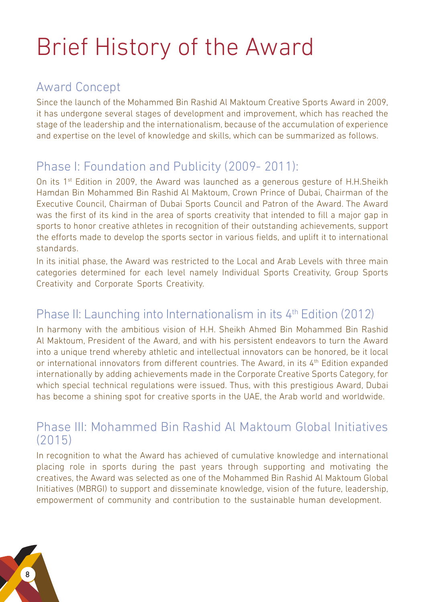## Brief History of the Award

### Award Concept

Since the launch of the Mohammed Bin Rashid Al Maktoum Creative Sports Award in 2009, it has undergone several stages of development and improvement, which has reached the stage of the leadership and the internationalism, because of the accumulation of experience and expertise on the level of knowledge and skills, which can be summarized as follows.

## Phase I: Foundation and Publicity (2009- 2011):

On its 1<sup>st</sup> Edition in 2009, the Award was launched as a generous gesture of H.H.Sheikh Hamdan Bin Mohammed Bin Rashid Al Maktoum, Crown Prince of Dubai, Chairman of the Executive Council, Chairman of Dubai Sports Council and Patron of the Award. The Award was the first of its kind in the area of sports creativity that intended to fill a major gap in sports to honor creative athletes in recognition of their outstanding achievements, support the efforts made to develop the sports sector in various fields, and uplift it to international standards.

In its initial phase, the Award was restricted to the Local and Arab Levels with three main categories determined for each level namely Individual Sports Creativity, Group Sports Creativity and Corporate Sports Creativity.

## Phase II: Launching into Internationalism in its 4<sup>th</sup> Edition (2012)

In harmony with the ambitious vision of H.H. Sheikh Ahmed Bin Mohammed Bin Rashid Al Maktoum, President of the Award, and with his persistent endeavors to turn the Award into a unique trend whereby athletic and intellectual innovators can be honored, be it local or international innovators from different countries. The Award, in its  $4<sup>th</sup>$  Edition expanded internationally by adding achievements made in the Corporate Creative Sports Category, for which special technical regulations were issued. Thus, with this prestigious Award, Dubai has become a shining spot for creative sports in the UAE, the Arab world and worldwide.

#### Phase III: Mohammed Bin Rashid Al Maktoum Global Initiatives  $(2015)$

In recognition to what the Award has achieved of cumulative knowledge and international placing role in sports during the past years through supporting and motivating the creatives, the Award was selected as one of the Mohammed Bin Rashid Al Maktoum Global Initiatives (MBRGI) to support and disseminate knowledge, vision of the future, leadership, empowerment of community and contribution to the sustainable human development.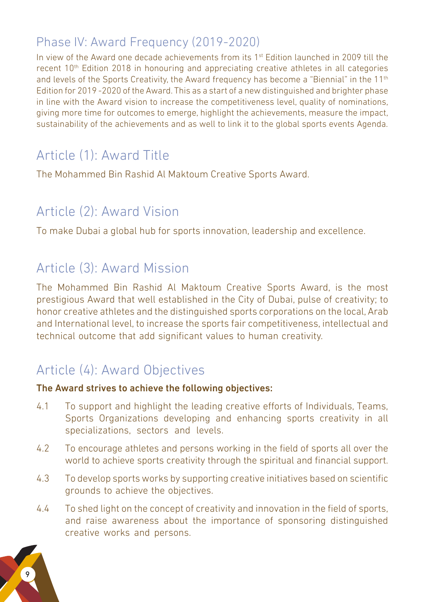## Phase IV: Award Frequency (2019-2020)

In view of the Award one decade achievements from its 1<sup>st</sup> Edition launched in 2009 till the recent 10<sup>th</sup> Edition 2018 in honouring and appreciating creative athletes in all categories and levels of the Sports Creativity, the Award frequency has become a "Biennial" in the  $11<sup>th</sup>$ Edition for 2019 -2020 of the Award. This as a start of a new distinguished and brighter phase in line with the Award vision to increase the competitiveness level, quality of nominations, giving more time for outcomes to emerge, highlight the achievements, measure the impact, sustainability of the achievements and as well to link it to the global sports events Agenda.

## Article (1): Award Title

The Mohammed Bin Rashid Al Maktoum Creative Sports Award.

## Article (2): Award Vision

To make Dubai a global hub for sports innovation, leadership and excellence.

## Article (3): Award Mission

The Mohammed Bin Rashid Al Maktoum Creative Sports Award, is the most prestigious Award that well established in the City of Dubai, pulse of creativity; to honor creative athletes and the distinguished sports corporations on the local, Arab and International level, to increase the sports fair competitiveness, intellectual and technical outcome that add significant values to human creativity.

## Article (4): Award Objectives

#### The Award strives to achieve the following objectives:

- 4.1 To support and highlight the leading creative efforts of Individuals, Teams, Sports Organizations developing and enhancing sports creativity in all specializations, sectors and levels.
- 4.2 To encourage athletes and persons working in the field of sports all over the world to achieve sports creativity through the spiritual and financial support.
- 4.3 To develop sports works by supporting creative initiatives based on scientific grounds to achieve the objectives.
- 4.4 To shed light on the concept of creativity and innovation in the field of sports, and raise awareness about the importance of sponsoring distinguished creative works and persons.

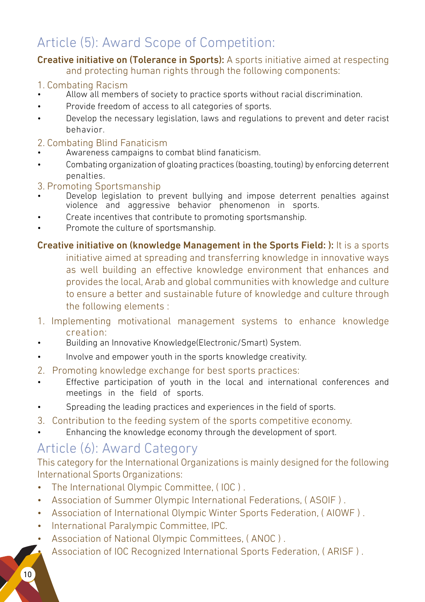## Article (5): Award Scope of Competition:

#### Creative initiative on (Tolerance in Sports): A sports initiative aimed at respecting and protecting human rights through the following components:

#### 1. Combating Racism

- Allow all members of society to practice sports without racial discrimination.
- Provide freedom of access to all categories of sports.
- Develop the necessary legislation, laws and regulations to prevent and deter racist behavior.

#### 2. Combating Blind Fanaticism

- Awareness campaigns to combat blind fanaticism.
- Combating organization of gloating practices (boasting, touting) by enforcing deterrent penalties.

#### 3. Promoting Sportsmanship

- Develop legislation to prevent bullying and impose deterrent penalties against violence and aggressive behavior phenomenon in sports.
- Create incentives that contribute to promoting sportsmanship.
- Promote the culture of sportsmanship.

Creative initiative on (knowledge Management in the Sports Field: ): It is a sports initiative aimed at spreading and transferring knowledge in innovative ways as well building an effective knowledge environment that enhances and provides the local, Arab and global communities with knowledge and culture to ensure a better and sustainable future of knowledge and culture through the following elements :

- 1. Implementing motivational management systems to enhance knowledge creation:
- Building an Innovative Knowledge(Electronic/Smart) System.
- Involve and empower youth in the sports knowledge creativity.
- 2. Promoting knowledge exchange for best sports practices:
- Effective participation of youth in the local and international conferences and meetings in the field of sports.
- Spreading the leading practices and experiences in the field of sports.
- 3. Contribution to the feeding system of the sports competitive economy.
- Enhancing the knowledge economy through the development of sport.

## Article (6): Award Category

This category for the International Organizations is mainly designed for the following International Sports Organizations:

- The International Olympic Committee, ( IOC ) .
- Association of Summer Olympic International Federations, ( ASOIF ) .
- Association of International Olympic Winter Sports Federation, ( AIOWF ) .
- International Paralympic Committee, IPC.
- Association of National Olympic Committees, ( ANOC ) .
- Association of IOC Recognized International Sports Federation, ( ARISF ) .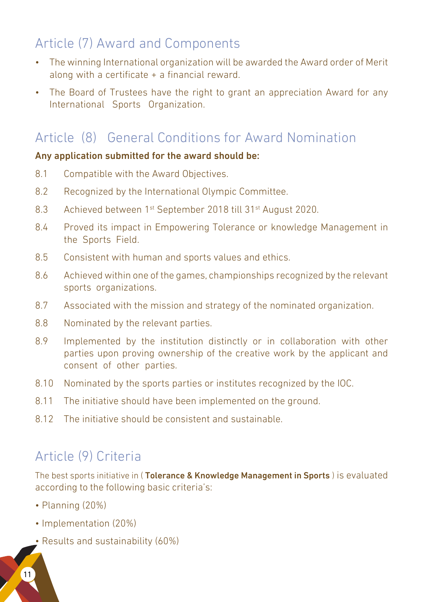## Article (7) Award and Components

- The winning International organization will be awarded the Award order of Merit along with a certificate + a financial reward.
- The Board of Trustees have the right to grant an appreciation Award for any International Sports Organization.

## Article (8) General Conditions for Award Nomination

#### Any application submitted for the award should be:

- 8.1 Compatible with the Award Objectives.
- 8.2 Recognized by the International Olympic Committee.
- 8.3 Achieved between 1<sup>st</sup> September 2018 till 31<sup>st</sup> August 2020.
- 8.4 Proved its impact in Empowering Tolerance or knowledge Management in the Sports Field.
- 8.5 Consistent with human and sports values and ethics.
- 8.6 Achieved within one of the games, championships recognized by the relevant sports organizations.
- 8.7 Associated with the mission and strategy of the nominated organization.
- 8.8 Nominated by the relevant parties.
- 8.9 Implemented by the institution distinctly or in collaboration with other parties upon proving ownership of the creative work by the applicant and consent of other parties.
- 8.10 Nominated by the sports parties or institutes recognized by the IOC.
- 8.11 The initiative should have been implemented on the ground.
- 8.12 The initiative should be consistent and sustainable.

## Article (9) Criteria

The best sports initiative in (Tolerance & Knowledge Management in Sports) is evaluated according to the following basic criteria's:

- Planning (20%)
- Implementation (20%)
- Results and sustainability (60%)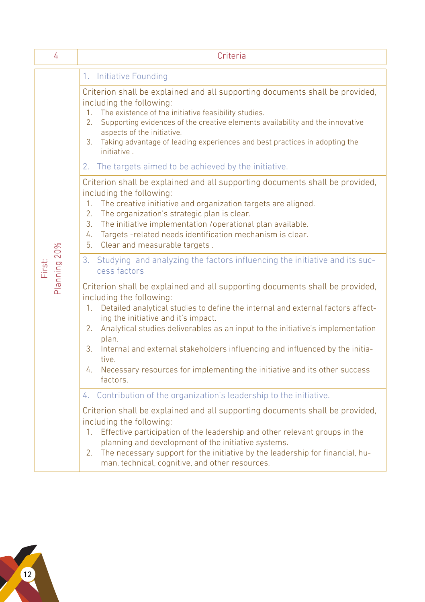| 4                      | Criteria                                                                                                                                                                                                                                                                                                                                                                                                                                                                                                                                |
|------------------------|-----------------------------------------------------------------------------------------------------------------------------------------------------------------------------------------------------------------------------------------------------------------------------------------------------------------------------------------------------------------------------------------------------------------------------------------------------------------------------------------------------------------------------------------|
|                        | 1. Initiative Founding                                                                                                                                                                                                                                                                                                                                                                                                                                                                                                                  |
|                        | Criterion shall be explained and all supporting documents shall be provided,<br>including the following:<br>The existence of the initiative feasibility studies.<br>1 <sup>1</sup><br>Supporting evidences of the creative elements availability and the innovative<br>2.<br>aspects of the initiative.<br>Taking advantage of leading experiences and best practices in adopting the<br>3.<br>initiative.                                                                                                                              |
|                        | 2. The targets aimed to be achieved by the initiative.                                                                                                                                                                                                                                                                                                                                                                                                                                                                                  |
|                        | Criterion shall be explained and all supporting documents shall be provided,<br>including the following:<br>$1_{-}$<br>The creative initiative and organization targets are aligned.<br>2.<br>The organization's strategic plan is clear.<br>3.<br>The initiative implementation /operational plan available.<br>Targets-related needs identification mechanism is clear.<br>4.<br>5.<br>Clear and measurable targets.                                                                                                                  |
| Planning 20%<br>First: | 3. Studying and analyzing the factors influencing the initiative and its suc-<br>cess factors                                                                                                                                                                                                                                                                                                                                                                                                                                           |
|                        | Criterion shall be explained and all supporting documents shall be provided,<br>including the following:<br>Detailed analytical studies to define the internal and external factors affect-<br>1.<br>ing the initiative and it's impact.<br>Analytical studies deliverables as an input to the initiative's implementation<br>2.<br>plan.<br>Internal and external stakeholders influencing and influenced by the initia-<br>3.<br>tive.<br>Necessary resources for implementing the initiative and its other success<br>4.<br>factors. |
|                        | 4. Contribution of the organization's leadership to the initiative.                                                                                                                                                                                                                                                                                                                                                                                                                                                                     |
|                        | Criterion shall be explained and all supporting documents shall be provided,<br>including the following:<br>Effective participation of the leadership and other relevant groups in the<br>1.<br>planning and development of the initiative systems.<br>The necessary support for the initiative by the leadership for financial, hu-<br>2.<br>man, technical, cognitive, and other resources.                                                                                                                                           |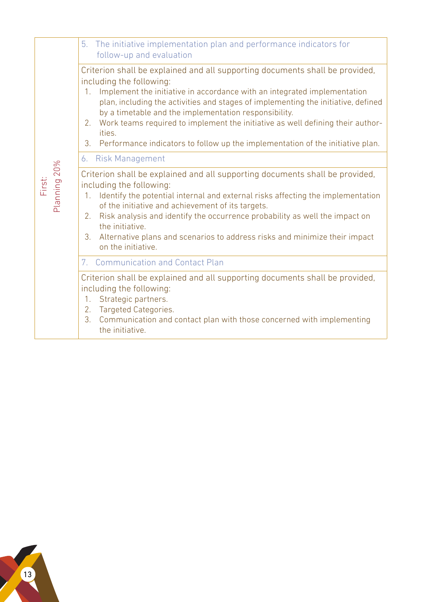|                        | 5. The initiative implementation plan and performance indicators for<br>follow-up and evaluation                                                                                                                                                                                                                                                                                                                                                                                                                                                   |
|------------------------|----------------------------------------------------------------------------------------------------------------------------------------------------------------------------------------------------------------------------------------------------------------------------------------------------------------------------------------------------------------------------------------------------------------------------------------------------------------------------------------------------------------------------------------------------|
|                        | Criterion shall be explained and all supporting documents shall be provided,<br>including the following:<br>1. Implement the initiative in accordance with an integrated implementation<br>plan, including the activities and stages of implementing the initiative, defined<br>by a timetable and the implementation responsibility.<br>2. Work teams required to implement the initiative as well defining their author-<br>ities.<br>Performance indicators to follow up the implementation of the initiative plan.<br>3.<br>6. Risk Management |
| Planning 20%<br>First: | Criterion shall be explained and all supporting documents shall be provided,<br>including the following:<br>Identify the potential internal and external risks affecting the implementation<br>$1_{\cdot}$<br>of the initiative and achievement of its targets.<br>2. Risk analysis and identify the occurrence probability as well the impact on<br>the initiative.<br>3. Alternative plans and scenarios to address risks and minimize their impact<br>on the initiative.                                                                        |
|                        | 7. Communication and Contact Plan                                                                                                                                                                                                                                                                                                                                                                                                                                                                                                                  |
|                        | Criterion shall be explained and all supporting documents shall be provided,<br>including the following:<br>1. Strategic partners.<br>2. Targeted Categories.<br>3. Communication and contact plan with those concerned with implementing<br>the initiative.                                                                                                                                                                                                                                                                                       |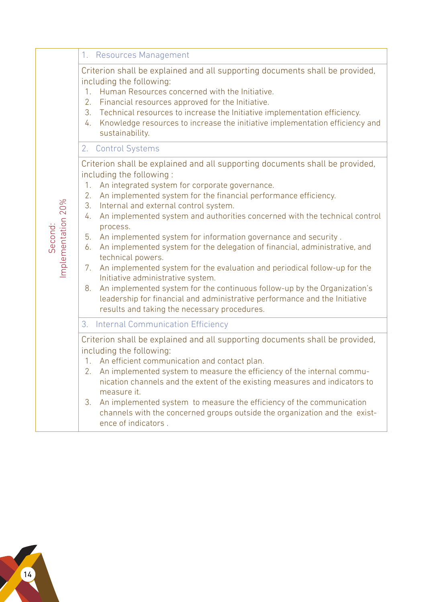|                               | 1. Resources Management                                                                                                                                                                                                                                                                                                                                                                                                                                                                                                                                                                                                                                                                                                                                                                                                                                                                                        |
|-------------------------------|----------------------------------------------------------------------------------------------------------------------------------------------------------------------------------------------------------------------------------------------------------------------------------------------------------------------------------------------------------------------------------------------------------------------------------------------------------------------------------------------------------------------------------------------------------------------------------------------------------------------------------------------------------------------------------------------------------------------------------------------------------------------------------------------------------------------------------------------------------------------------------------------------------------|
|                               | Criterion shall be explained and all supporting documents shall be provided,<br>including the following:<br>Human Resources concerned with the Initiative.<br>1.<br>Financial resources approved for the Initiative.<br>2.<br>Technical resources to increase the Initiative implementation efficiency.<br>3.<br>Knowledge resources to increase the initiative implementation efficiency and<br>4.<br>sustainability.                                                                                                                                                                                                                                                                                                                                                                                                                                                                                         |
|                               | 2. Control Systems                                                                                                                                                                                                                                                                                                                                                                                                                                                                                                                                                                                                                                                                                                                                                                                                                                                                                             |
| Implementation 20%<br>Second: | Criterion shall be explained and all supporting documents shall be provided,<br>including the following:<br>1. An integrated system for corporate governance.<br>2.<br>An implemented system for the financial performance efficiency.<br>Internal and external control system.<br>3.<br>An implemented system and authorities concerned with the technical control<br>4.<br>process.<br>An implemented system for information governance and security.<br>5.<br>An implemented system for the delegation of financial, administrative, and<br>6.<br>technical powers.<br>An implemented system for the evaluation and periodical follow-up for the<br>7.<br>Initiative administrative system.<br>An implemented system for the continuous follow-up by the Organization's<br>8.<br>leadership for financial and administrative performance and the Initiative<br>results and taking the necessary procedures. |
|                               | <b>Internal Communication Efficiency</b><br>3.                                                                                                                                                                                                                                                                                                                                                                                                                                                                                                                                                                                                                                                                                                                                                                                                                                                                 |
|                               | Criterion shall be explained and all supporting documents shall be provided,<br>including the following:<br>1. An efficient communication and contact plan.<br>An implemented system to measure the efficiency of the internal commu-<br>2.<br>nication channels and the extent of the existing measures and indicators to<br>measure it.<br>An implemented system to measure the efficiency of the communication<br>3.<br>channels with the concerned groups outside the organization and the exist-<br>ence of indicators.                                                                                                                                                                                                                                                                                                                                                                                   |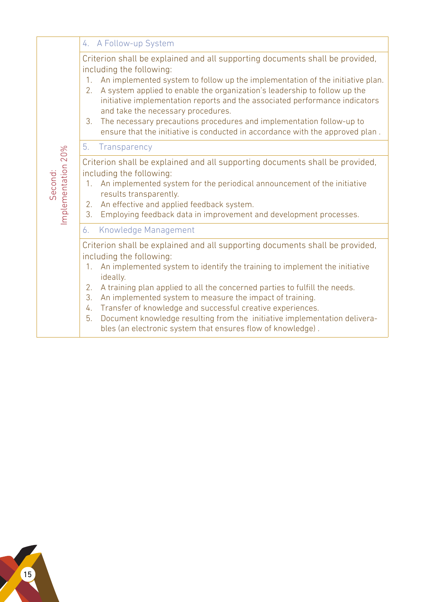|                               | 4. A Follow-up System                                                                                                                                                                                                                                                                                                                                                                                                                                                                                                                                                                |
|-------------------------------|--------------------------------------------------------------------------------------------------------------------------------------------------------------------------------------------------------------------------------------------------------------------------------------------------------------------------------------------------------------------------------------------------------------------------------------------------------------------------------------------------------------------------------------------------------------------------------------|
|                               | Criterion shall be explained and all supporting documents shall be provided,<br>including the following:<br>An implemented system to follow up the implementation of the initiative plan.<br>1.<br>A system applied to enable the organization's leadership to follow up the<br>2.<br>initiative implementation reports and the associated performance indicators<br>and take the necessary procedures.<br>The necessary precautions procedures and implementation follow-up to<br>3.<br>ensure that the initiative is conducted in accordance with the approved plan.               |
|                               | Transparency<br>5.                                                                                                                                                                                                                                                                                                                                                                                                                                                                                                                                                                   |
| Implementation 20%<br>Second: | Criterion shall be explained and all supporting documents shall be provided,<br>including the following:<br>An implemented system for the periodical announcement of the initiative<br>$1_{\cdots}$<br>results transparently.<br>An effective and applied feedback system.<br>2.<br>3.<br>Employing feedback data in improvement and development processes.                                                                                                                                                                                                                          |
|                               | Knowledge Management<br>6.                                                                                                                                                                                                                                                                                                                                                                                                                                                                                                                                                           |
|                               | Criterion shall be explained and all supporting documents shall be provided,<br>including the following:<br>An implemented system to identify the training to implement the initiative<br>1.<br>ideally.<br>2.<br>A training plan applied to all the concerned parties to fulfill the needs.<br>3.<br>An implemented system to measure the impact of training.<br>Transfer of knowledge and successful creative experiences.<br>4.<br>5.<br>Document knowledge resulting from the initiative implementation delivera-<br>bles (an electronic system that ensures flow of knowledge). |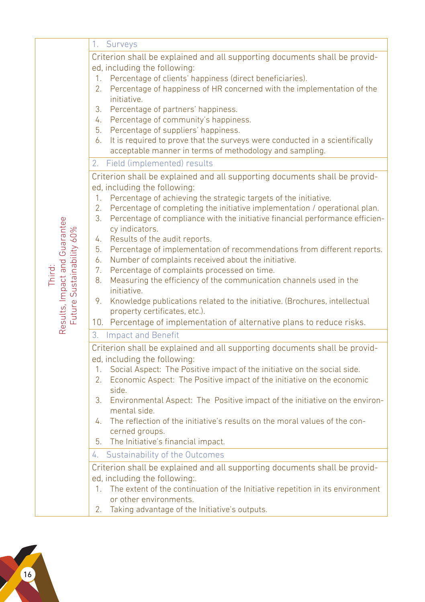|                                                            | 1. Surveys                                                                                                                              |
|------------------------------------------------------------|-----------------------------------------------------------------------------------------------------------------------------------------|
|                                                            | Criterion shall be explained and all supporting documents shall be provid-                                                              |
|                                                            | ed, including the following:                                                                                                            |
|                                                            | Percentage of clients' happiness (direct beneficiaries).<br>1.                                                                          |
|                                                            | 2.<br>Percentage of happiness of HR concerned with the implementation of the<br>initiative.                                             |
|                                                            | 3. Percentage of partners' happiness.                                                                                                   |
|                                                            | 4. Percentage of community's happiness.                                                                                                 |
|                                                            | 5. Percentage of suppliers' happiness.                                                                                                  |
|                                                            | 6. It is required to prove that the surveys were conducted in a scientifically                                                          |
|                                                            | acceptable manner in terms of methodology and sampling.                                                                                 |
|                                                            | Field (implemented) results<br>2.                                                                                                       |
|                                                            | Criterion shall be explained and all supporting documents shall be provid-                                                              |
|                                                            | ed, including the following:<br>Percentage of achieving the strategic targets of the initiative.<br>1.                                  |
|                                                            | Percentage of completing the initiative implementation / operational plan.<br>2.                                                        |
|                                                            | 3.<br>Percentage of compliance with the initiative financial performance efficien-                                                      |
|                                                            | cy indicators.                                                                                                                          |
|                                                            | Results of the audit reports.<br>4.                                                                                                     |
|                                                            | 5. Percentage of implementation of recommendations from different reports.<br>Number of complaints received about the initiative.<br>6. |
|                                                            | 7. Percentage of complaints processed on time.                                                                                          |
| Third:                                                     | Measuring the efficiency of the communication channels used in the<br>8.                                                                |
|                                                            | initiative.                                                                                                                             |
|                                                            | 9. Knowledge publications related to the initiative. (Brochures, intellectual                                                           |
|                                                            | property certificates, etc.).                                                                                                           |
| Results, Impact and Guarantee<br>Future Sustainability 60% | 10. Percentage of implementation of alternative plans to reduce risks.                                                                  |
|                                                            | 3. Impact and Benefit                                                                                                                   |
|                                                            | Criterion shall be explained and all supporting documents shall be provid-                                                              |
|                                                            | ed, including the following:<br>Social Aspect: The Positive impact of the initiative on the social side.<br>$1_{\cdot}$                 |
|                                                            | Economic Aspect: The Positive impact of the initiative on the economic<br>2.                                                            |
|                                                            | side.                                                                                                                                   |
|                                                            | 3. Environmental Aspect: The Positive impact of the initiative on the environ-                                                          |
|                                                            | mental side.                                                                                                                            |
|                                                            | 4. The reflection of the initiative's results on the moral values of the con-<br>cerned groups.                                         |
|                                                            | 5. The Initiative's financial impact.                                                                                                   |
|                                                            | Sustainability of the Outcomes<br>4.                                                                                                    |
|                                                            | Criterion shall be explained and all supporting documents shall be provid-                                                              |
|                                                            | ed, including the following:.                                                                                                           |
|                                                            | 1. The extent of the continuation of the Initiative repetition in its environment                                                       |
|                                                            | or other environments.                                                                                                                  |
|                                                            | 2. Taking advantage of the Initiative's outputs.                                                                                        |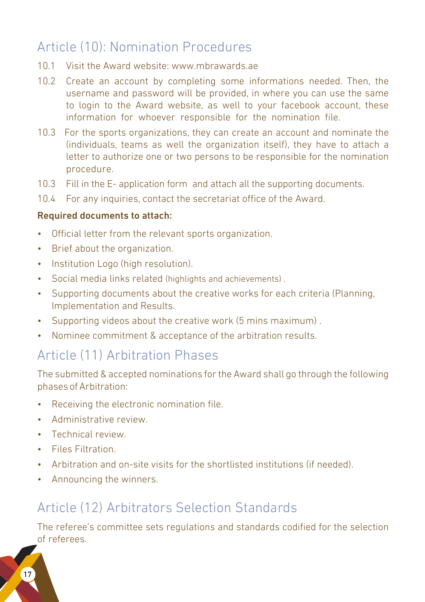## Article (10): Nomination Procedures

- 10.1 Visit the Award website: www.mbrawards.ae
- 10.2 Create an account by completing some informations needed. Then, the username and password will be provided, in where you can use the same to login to the Award website, as well to your facebook account, these information for whoever responsible for the nomination file.
- 10.3 For the sports organizations, they can create an account and nominate the (individuals, teams as well the organization itself), they have to attach a letter to authorize one or two persons to be responsible for the nomination procedure.
- 10.3 Fill in the E- application form and attach all the supporting documents.
- 10.4 For any inquiries, contact the secretariat office of the Award.

#### Required documents to attach:

- Official letter from the relevant sports organization.
- Brief about the organization.
- Institution Logo (high resolution).
- Social media links related (highlights and achievements) .
- Supporting documents about the creative works for each criteria (Planning, Implementation and Results.
- Supporting videos about the creative work (5 mins maximum) .
- Nominee commitment & acceptance of the arbitration results.

### Article (11) Arbitration Phases

The submitted & accepted nominations for the Award shall go through the following phases of Arbitration:

- Receiving the electronic nomination file.
- Administrative review.
- Technical review.
- Files Filtration.
- Arbitration and on-site visits for the shortlisted institutions (if needed).
- Announcing the winners.

## Article (12) Arbitrators Selection Standards

The referee's committee sets regulations and standards codified for the selection of referees.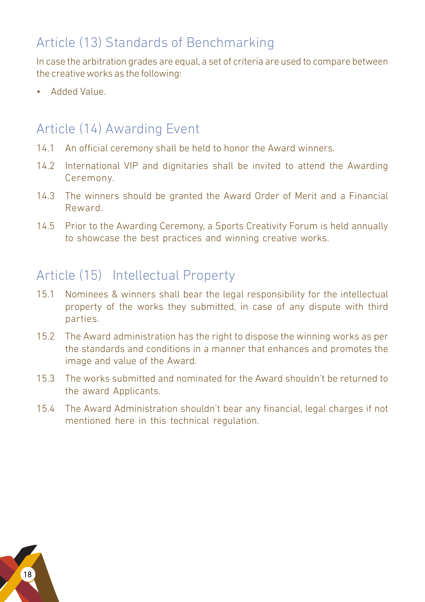## Article (13) Standards of Benchmarking

In case the arbitration grades are equal, a set of criteria are used to compare between the creative works as the following:

• Added Value.

## Article (14) Awarding Event

- 14.1 An official ceremony shall be held to honor the Award winners.
- 14.2 International VIP and dignitaries shall be invited to attend the Awarding Ceremony.
- 14.3 The winners should be granted the Award Order of Merit and a Financial Reward.
- 14.5 Prior to the Awarding Ceremony, a Sports Creativity Forum is held annually to showcase the best practices and winning creative works.

## Article (15) Intellectual Property

- 15.1 Nominees & winners shall bear the legal responsibility for the intellectual property of the works they submitted, in case of any dispute with third parties.
- 15.2 The Award administration has the right to dispose the winning works as per the standards and conditions in a manner that enhances and promotes the image and value of the Award.
- 15.3 The works submitted and nominated for the Award shouldn't be returned to the award Applicants.
- 15.4 The Award Administration shouldn't bear any financial, legal charges if not mentioned here in this technical regulation.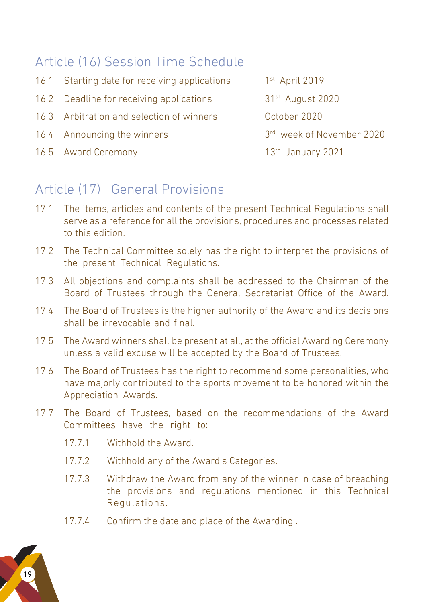## Article (16) Session Time Schedule

- 16.1 Starting date for receiving applications 1<sup>st</sup> April 2019
- 16.2 Deadline for receiving applications 31<sup>st</sup> August 2020
- 16.3 Arbitration and selection of winners October 2020
- 16.4 Announcing the winners 3rd week of November 2020
- 16.5 Award Ceremony 13th January 2021

## Article (17) General Provisions

- 17.1 The items, articles and contents of the present Technical Regulations shall serve as a reference for all the provisions, procedures and processes related to this edition.
- 17.2 The Technical Committee solely has the right to interpret the provisions of the present Technical Regulations.
- 17.3 All objections and complaints shall be addressed to the Chairman of the Board of Trustees through the General Secretariat Office of the Award.
- 17.4 The Board of Trustees is the higher authority of the Award and its decisions shall be irrevocable and final.
- 17.5 The Award winners shall be present at all, at the official Awarding Ceremony unless a valid excuse will be accepted by the Board of Trustees.
- 17.6 The Board of Trustees has the right to recommend some personalities, who have majorly contributed to the sports movement to be honored within the Appreciation Awards.
- 17.7 The Board of Trustees, based on the recommendations of the Award Committees have the right to:
	- 17.7.1 Withhold the Award.
	- 17.7.2 Withhold any of the Award's Categories.
	- 17.7.3 Withdraw the Award from any of the winner in case of breaching the provisions and regulations mentioned in this Technical Regulations.
	- 17.7.4 Confirm the date and place of the Awarding .

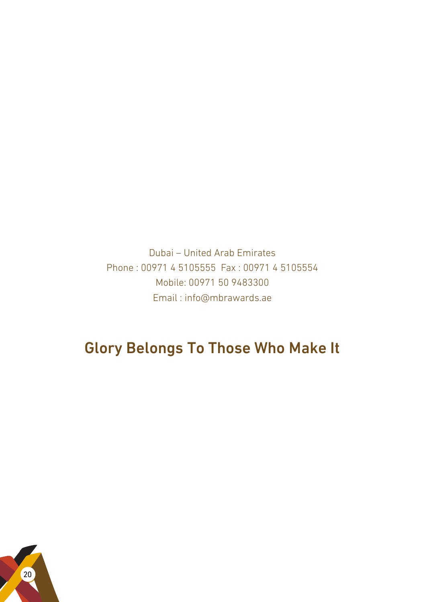Dubai – United Arab Emirates Phone : 00971 4 5105555 Fax : 00971 4 5105554 Mobile: 00971 50 9483300 Email : info@mbrawards.ae

## Glory Belongs To Those Who Make It